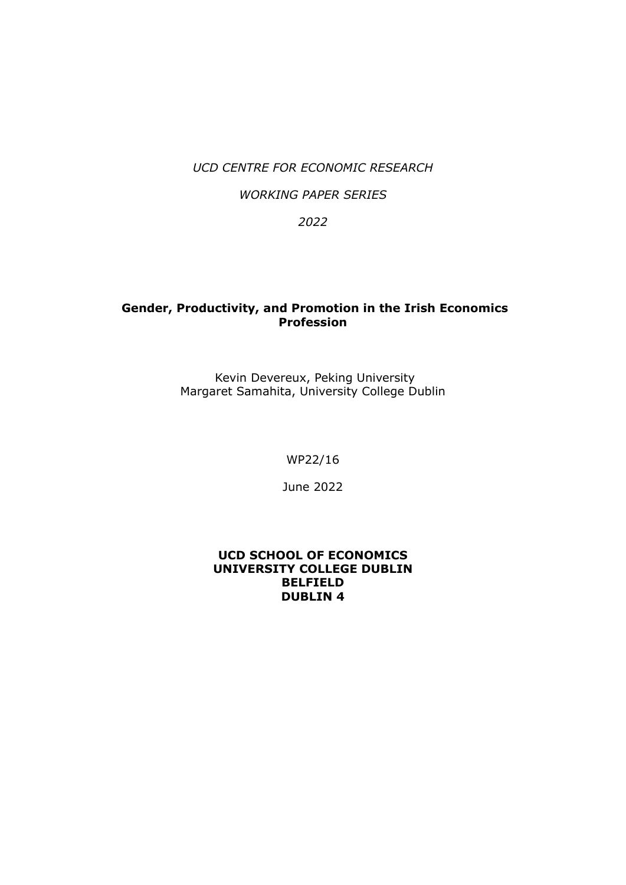#### *UCD CENTRE FOR ECONOMIC RESEARCH*

#### *WORKING PAPER SERIES*

*2022*

#### **Gender, Productivity, and Promotion in the Irish Economics Profession**

 Kevin Devereux, Peking University Margaret Samahita, University College Dublin

WP22/16

June 2022

#### **UCD SCHOOL OF ECONOMICS UNIVERSITY COLLEGE DUBLIN BELFIELD DUBLIN 4**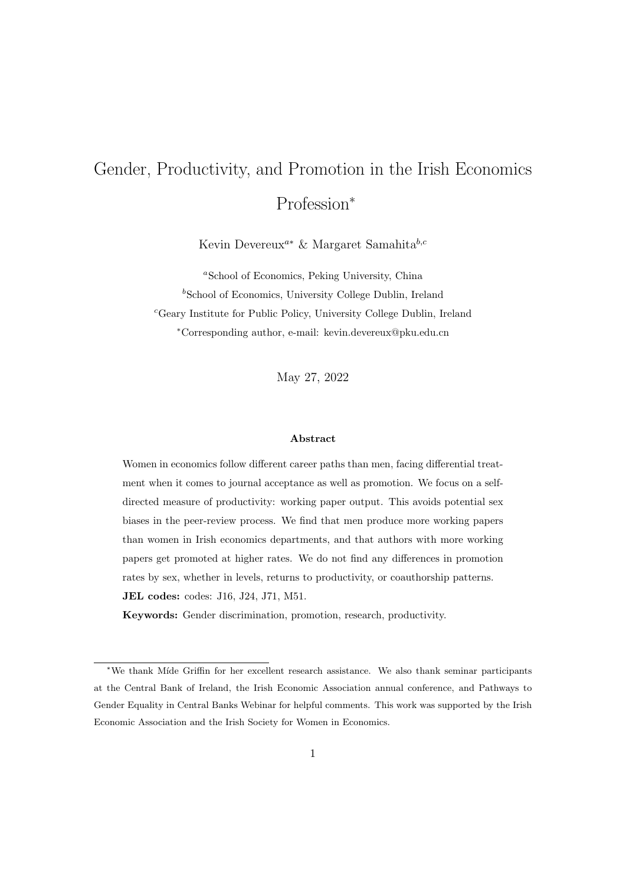# Gender, Productivity, and Promotion in the Irish Economics Profession\*

Kevin Devereux<sup>a∗</sup> & Margaret Samahita<sup>b,c</sup>

<sup>a</sup>School of Economics, Peking University, China  $b$ School of Economics, University College Dublin, Ireland <sup>c</sup>Geary Institute for Public Policy, University College Dublin, Ireland <sup>∗</sup>Corresponding author, e-mail: kevin.devereux@pku.edu.cn

May 27, 2022

#### Abstract

Women in economics follow different career paths than men, facing differential treatment when it comes to journal acceptance as well as promotion. We focus on a selfdirected measure of productivity: working paper output. This avoids potential sex biases in the peer-review process. We find that men produce more working papers than women in Irish economics departments, and that authors with more working papers get promoted at higher rates. We do not find any differences in promotion rates by sex, whether in levels, returns to productivity, or coauthorship patterns. JEL codes: codes: J16, J24, J71, M51.

Keywords: Gender discrimination, promotion, research, productivity.

<sup>\*</sup>We thank M´ıde Griffin for her excellent research assistance. We also thank seminar participants at the Central Bank of Ireland, the Irish Economic Association annual conference, and Pathways to Gender Equality in Central Banks Webinar for helpful comments. This work was supported by the Irish Economic Association and the Irish Society for Women in Economics.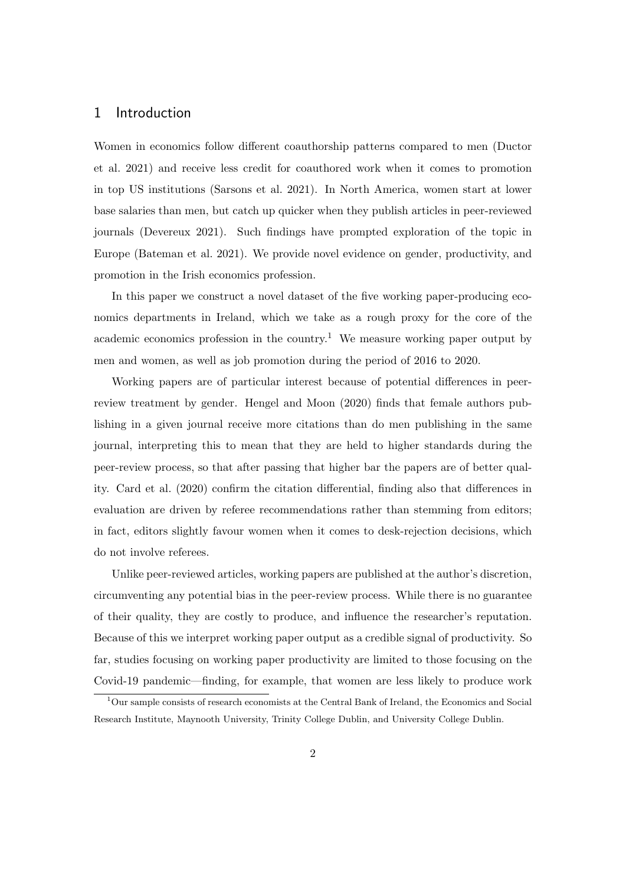#### 1 Introduction

Women in economics follow different coauthorship patterns compared to men (Ductor et al. 2021) and receive less credit for coauthored work when it comes to promotion in top US institutions (Sarsons et al. 2021). In North America, women start at lower base salaries than men, but catch up quicker when they publish articles in peer-reviewed journals (Devereux 2021). Such findings have prompted exploration of the topic in Europe (Bateman et al. 2021). We provide novel evidence on gender, productivity, and promotion in the Irish economics profession.

In this paper we construct a novel dataset of the five working paper-producing economics departments in Ireland, which we take as a rough proxy for the core of the academic economics profession in the country.<sup>1</sup> We measure working paper output by men and women, as well as job promotion during the period of 2016 to 2020.

Working papers are of particular interest because of potential differences in peerreview treatment by gender. Hengel and Moon (2020) finds that female authors publishing in a given journal receive more citations than do men publishing in the same journal, interpreting this to mean that they are held to higher standards during the peer-review process, so that after passing that higher bar the papers are of better quality. Card et al. (2020) confirm the citation differential, finding also that differences in evaluation are driven by referee recommendations rather than stemming from editors; in fact, editors slightly favour women when it comes to desk-rejection decisions, which do not involve referees.

Unlike peer-reviewed articles, working papers are published at the author's discretion, circumventing any potential bias in the peer-review process. While there is no guarantee of their quality, they are costly to produce, and influence the researcher's reputation. Because of this we interpret working paper output as a credible signal of productivity. So far, studies focusing on working paper productivity are limited to those focusing on the Covid-19 pandemic—finding, for example, that women are less likely to produce work

<sup>1</sup>Our sample consists of research economists at the Central Bank of Ireland, the Economics and Social Research Institute, Maynooth University, Trinity College Dublin, and University College Dublin.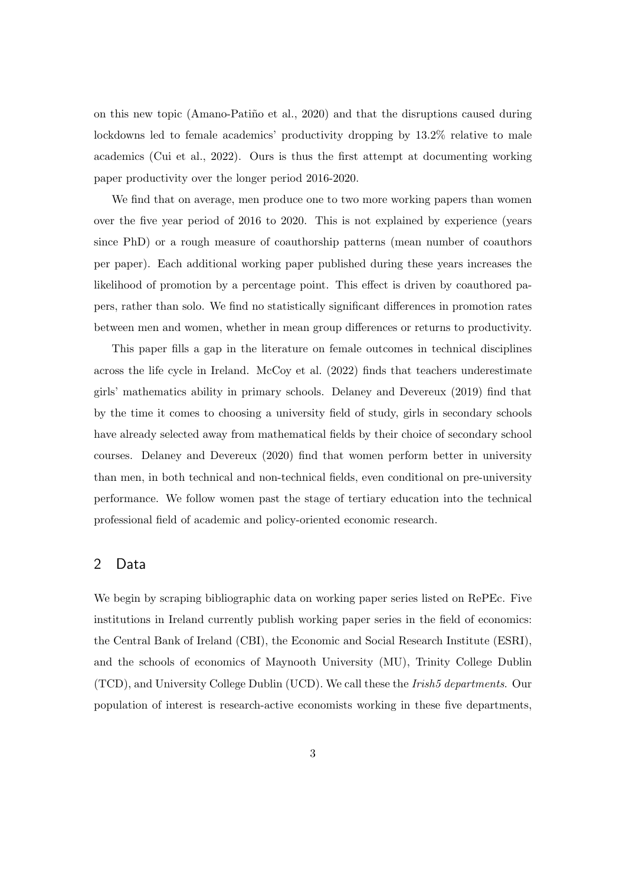on this new topic (Amano-Patiño et al.,  $2020$ ) and that the disruptions caused during lockdowns led to female academics' productivity dropping by 13.2% relative to male academics (Cui et al., 2022). Ours is thus the first attempt at documenting working paper productivity over the longer period 2016-2020.

We find that on average, men produce one to two more working papers than women over the five year period of 2016 to 2020. This is not explained by experience (years since PhD) or a rough measure of coauthorship patterns (mean number of coauthors per paper). Each additional working paper published during these years increases the likelihood of promotion by a percentage point. This effect is driven by coauthored papers, rather than solo. We find no statistically significant differences in promotion rates between men and women, whether in mean group differences or returns to productivity.

This paper fills a gap in the literature on female outcomes in technical disciplines across the life cycle in Ireland. McCoy et al. (2022) finds that teachers underestimate girls' mathematics ability in primary schools. Delaney and Devereux (2019) find that by the time it comes to choosing a university field of study, girls in secondary schools have already selected away from mathematical fields by their choice of secondary school courses. Delaney and Devereux (2020) find that women perform better in university than men, in both technical and non-technical fields, even conditional on pre-university performance. We follow women past the stage of tertiary education into the technical professional field of academic and policy-oriented economic research.

#### 2 Data

We begin by scraping bibliographic data on working paper series listed on RePEc. Five institutions in Ireland currently publish working paper series in the field of economics: the Central Bank of Ireland (CBI), the Economic and Social Research Institute (ESRI), and the schools of economics of Maynooth University (MU), Trinity College Dublin (TCD), and University College Dublin (UCD). We call these the Irish5 departments. Our population of interest is research-active economists working in these five departments,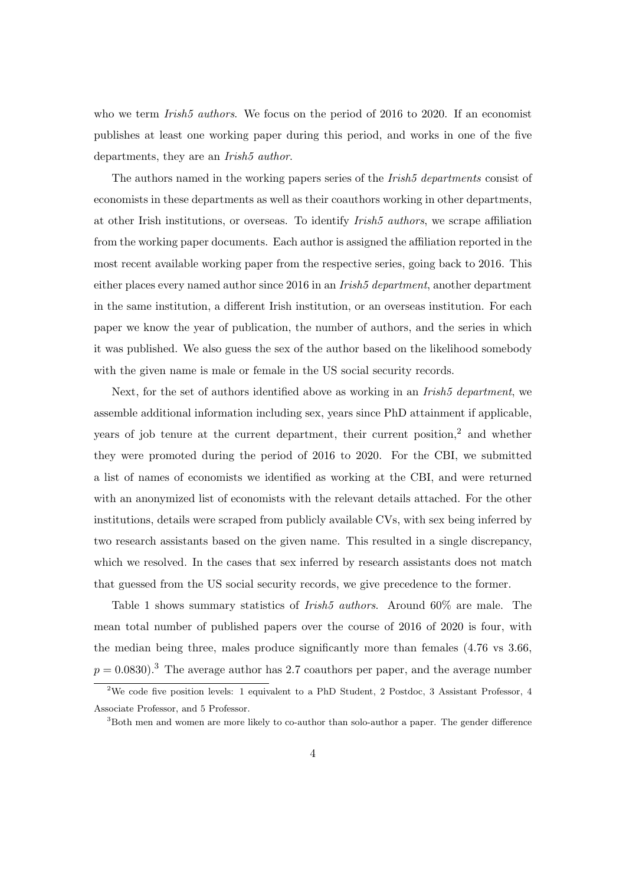who we term *Irish5 authors*. We focus on the period of 2016 to 2020. If an economist publishes at least one working paper during this period, and works in one of the five departments, they are an *Irish5 author*.

The authors named in the working papers series of the *Irish5 departments* consist of economists in these departments as well as their coauthors working in other departments, at other Irish institutions, or overseas. To identify *Irish5 authors*, we scrape affiliation from the working paper documents. Each author is assigned the affiliation reported in the most recent available working paper from the respective series, going back to 2016. This either places every named author since 2016 in an *Irish<sub>5</sub>* department, another department in the same institution, a different Irish institution, or an overseas institution. For each paper we know the year of publication, the number of authors, and the series in which it was published. We also guess the sex of the author based on the likelihood somebody with the given name is male or female in the US social security records.

Next, for the set of authors identified above as working in an *Irish5 department*, we assemble additional information including sex, years since PhD attainment if applicable, years of job tenure at the current department, their current position, $2$  and whether they were promoted during the period of 2016 to 2020. For the CBI, we submitted a list of names of economists we identified as working at the CBI, and were returned with an anonymized list of economists with the relevant details attached. For the other institutions, details were scraped from publicly available CVs, with sex being inferred by two research assistants based on the given name. This resulted in a single discrepancy, which we resolved. In the cases that sex inferred by research assistants does not match that guessed from the US social security records, we give precedence to the former.

Table 1 shows summary statistics of *Irish5 authors*. Around 60% are male. The mean total number of published papers over the course of 2016 of 2020 is four, with the median being three, males produce significantly more than females (4.76 vs 3.66,  $p = 0.0830$ .<sup>3</sup> The average author has 2.7 coauthors per paper, and the average number

<sup>2</sup>We code five position levels: 1 equivalent to a PhD Student, 2 Postdoc, 3 Assistant Professor, 4 Associate Professor, and 5 Professor.

<sup>3</sup>Both men and women are more likely to co-author than solo-author a paper. The gender difference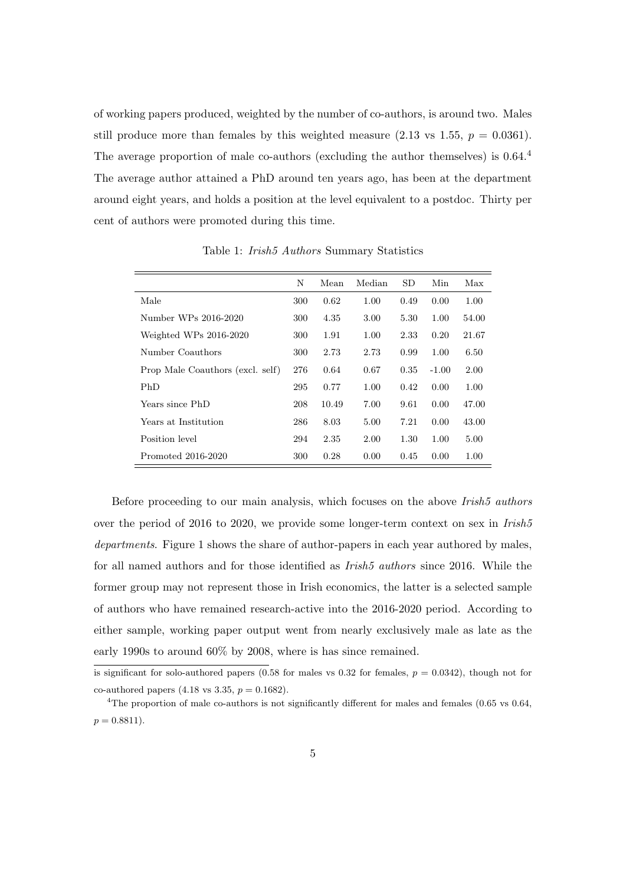of working papers produced, weighted by the number of co-authors, is around two. Males still produce more than females by this weighted measure  $(2.13 \text{ vs } 1.55, p = 0.0361)$ . The average proportion of male co-authors (excluding the author themselves) is  $0.64<sup>4</sup>$ The average author attained a PhD around ten years ago, has been at the department around eight years, and holds a position at the level equivalent to a postdoc. Thirty per cent of authors were promoted during this time.

|                                  | N   | Mean  | Median | <b>SD</b> | Min     | Max   |
|----------------------------------|-----|-------|--------|-----------|---------|-------|
| Male                             | 300 | 0.62  | 1.00   | 0.49      | 0.00    | 1.00  |
| Number WPs 2016-2020             | 300 | 4.35  | 3.00   | 5.30      | 1.00    | 54.00 |
| Weighted WPs 2016-2020           | 300 | 1.91  | 1.00   | 2.33      | 0.20    | 21.67 |
| Number Coauthors                 | 300 | 2.73  | 2.73   | 0.99      | 1.00    | 6.50  |
| Prop Male Coauthors (excl. self) | 276 | 0.64  | 0.67   | 0.35      | $-1.00$ | 2.00  |
| PhD                              | 295 | 0.77  | 1.00   | 0.42      | 0.00    | 1.00  |
| Years since PhD                  | 208 | 10.49 | 7.00   | 9.61      | 0.00    | 47.00 |
| Years at Institution             | 286 | 8.03  | 5.00   | 7.21      | 0.00    | 43.00 |
| Position level                   | 294 | 2.35  | 2.00   | 1.30      | 1.00    | 5.00  |
| Promoted 2016-2020               | 300 | 0.28  | 0.00   | 0.45      | 0.00    | 1.00  |

Table 1: *Irish5 Authors* Summary Statistics

Before proceeding to our main analysis, which focuses on the above *Irish5 authors* over the period of 2016 to 2020, we provide some longer-term context on sex in *Irish5* departments. Figure 1 shows the share of author-papers in each year authored by males, for all named authors and for those identified as *Irish5 authors* since 2016. While the former group may not represent those in Irish economics, the latter is a selected sample of authors who have remained research-active into the 2016-2020 period. According to either sample, working paper output went from nearly exclusively male as late as the early 1990s to around 60% by 2008, where is has since remained.

is significant for solo-authored papers (0.58 for males vs 0.32 for females,  $p = 0.0342$ ), though not for co-authored papers (4.18 vs 3.35,  $p = 0.1682$ ).

<sup>&</sup>lt;sup>4</sup>The proportion of male co-authors is not significantly different for males and females  $(0.65 \text{ vs } 0.64, ...)$  $p = 0.8811$ .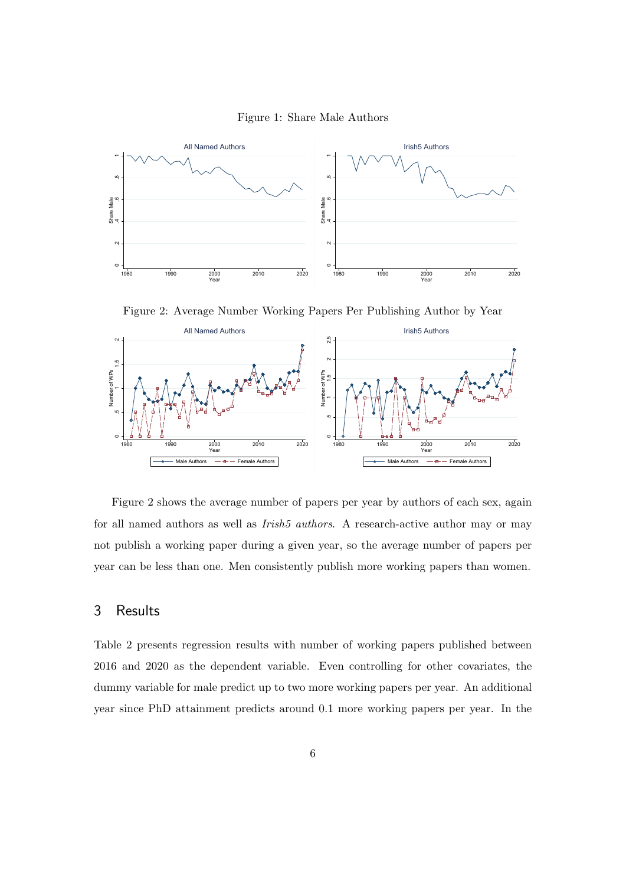



Figure 2: Average Number Working Papers Per Publishing Author by Year



Figure 2 shows the average number of papers per year by authors of each sex, again for all named authors as well as *Irish5 authors*. A research-active author may or may not publish a working paper during a given year, so the average number of papers per year can be less than one. Men consistently publish more working papers than women.

#### 3 Results

Table 2 presents regression results with number of working papers published between 2016 and 2020 as the dependent variable. Even controlling for other covariates, the dummy variable for male predict up to two more working papers per year. An additional year since PhD attainment predicts around 0.1 more working papers per year. In the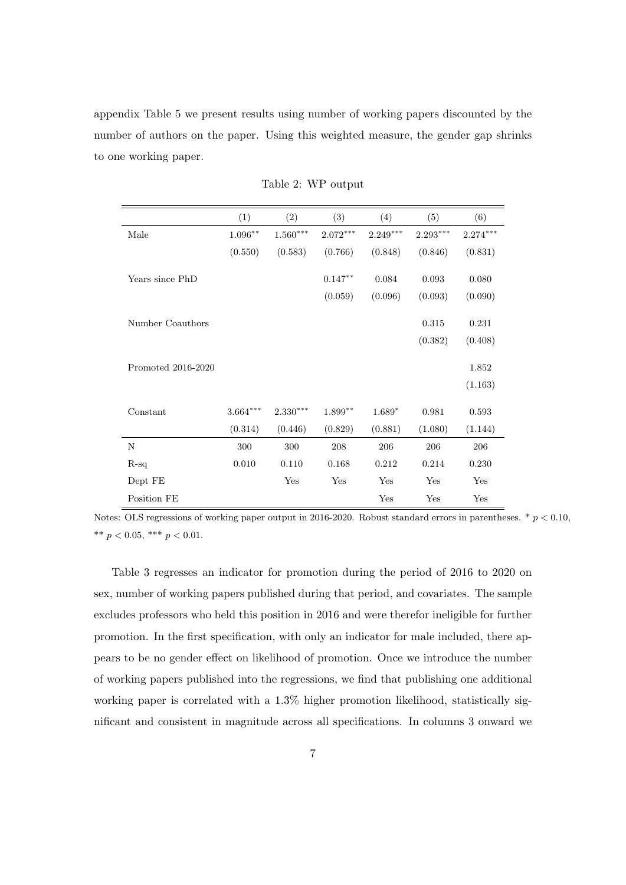appendix Table 5 we present results using number of working papers discounted by the number of authors on the paper. Using this weighted measure, the gender gap shrinks to one working paper.

|                    | (1)        | (2)                    | (3)        | (4)        | (5)        | (6)        |
|--------------------|------------|------------------------|------------|------------|------------|------------|
| Male               | $1.096***$ | $1.560^{\ast\ast\ast}$ | $2.072***$ | $2.249***$ | $2.293***$ | $2.274***$ |
|                    | (0.550)    | (0.583)                | (0.766)    | (0.848)    | (0.846)    | (0.831)    |
| Years since PhD    |            |                        | $0.147**$  | 0.084      | 0.093      | 0.080      |
|                    |            |                        | (0.059)    | (0.096)    | (0.093)    | (0.090)    |
| Number Coauthors   |            |                        |            |            | 0.315      | 0.231      |
|                    |            |                        |            |            | (0.382)    | (0.408)    |
| Promoted 2016-2020 |            |                        |            |            |            | 1.852      |
|                    |            |                        |            |            |            | (1.163)    |
| Constant           | $3.664***$ | $2.330***$             | $1.899***$ | $1.689*$   | 0.981      | 0.593      |
|                    | (0.314)    | (0.446)                | (0.829)    | (0.881)    | (1.080)    | (1.144)    |
| N                  | 300        | 300                    | 208        | 206        | 206        | 206        |
| $R-sq$             | 0.010      | 0.110                  | 0.168      | 0.212      | 0.214      | 0.230      |
| Dept FE            |            | Yes                    | Yes        | Yes        | Yes        | Yes        |
| Position FE        |            |                        |            | Yes        | Yes        | Yes        |

Table 2: WP output

Notes: OLS regressions of working paper output in 2016-2020. Robust standard errors in parentheses.  $*$   $p < 0.10$ , \*\*  $p < 0.05$ , \*\*\*  $p < 0.01$ .

Table 3 regresses an indicator for promotion during the period of 2016 to 2020 on sex, number of working papers published during that period, and covariates. The sample excludes professors who held this position in 2016 and were therefor ineligible for further promotion. In the first specification, with only an indicator for male included, there appears to be no gender effect on likelihood of promotion. Once we introduce the number of working papers published into the regressions, we find that publishing one additional working paper is correlated with a 1.3% higher promotion likelihood, statistically significant and consistent in magnitude across all specifications. In columns 3 onward we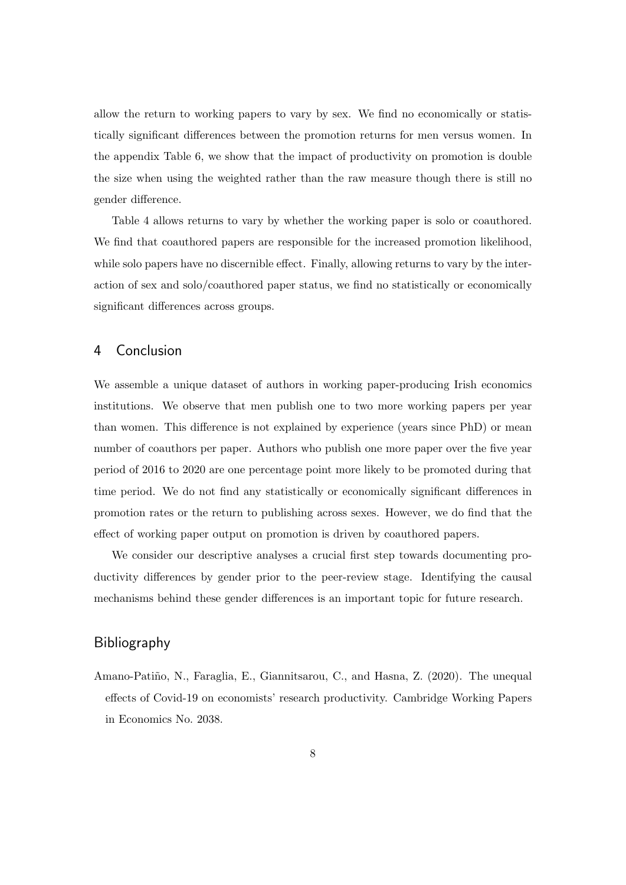allow the return to working papers to vary by sex. We find no economically or statistically significant differences between the promotion returns for men versus women. In the appendix Table 6, we show that the impact of productivity on promotion is double the size when using the weighted rather than the raw measure though there is still no gender difference.

Table 4 allows returns to vary by whether the working paper is solo or coauthored. We find that coauthored papers are responsible for the increased promotion likelihood, while solo papers have no discernible effect. Finally, allowing returns to vary by the interaction of sex and solo/coauthored paper status, we find no statistically or economically significant differences across groups.

#### 4 Conclusion

We assemble a unique dataset of authors in working paper-producing Irish economics institutions. We observe that men publish one to two more working papers per year than women. This difference is not explained by experience (years since PhD) or mean number of coauthors per paper. Authors who publish one more paper over the five year period of 2016 to 2020 are one percentage point more likely to be promoted during that time period. We do not find any statistically or economically significant differences in promotion rates or the return to publishing across sexes. However, we do find that the effect of working paper output on promotion is driven by coauthored papers.

We consider our descriptive analyses a crucial first step towards documenting productivity differences by gender prior to the peer-review stage. Identifying the causal mechanisms behind these gender differences is an important topic for future research.

#### Bibliography

Amano-Patiño, N., Faraglia, E., Giannitsarou, C., and Hasna, Z. (2020). The unequal effects of Covid-19 on economists' research productivity. Cambridge Working Papers in Economics No. 2038.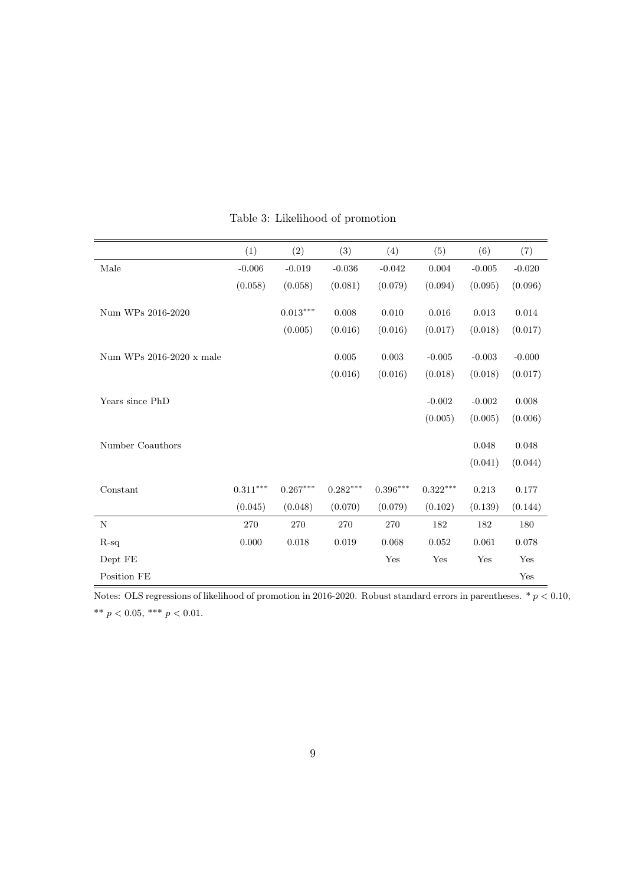|                          | (1)        | (2)                    | (3)                    | (4)                        | (5)        | (6)      | (7)      |
|--------------------------|------------|------------------------|------------------------|----------------------------|------------|----------|----------|
| Male                     | $-0.006$   | $-0.019$               | $-0.036$               | $-0.042$                   | 0.004      | $-0.005$ | $-0.020$ |
|                          | (0.058)    | (0.058)                | (0.081)                | (0.079)                    | (0.094)    | (0.095)  | (0.096)  |
| Num WPs 2016-2020        |            | $0.013***$             | 0.008                  | $0.010\,$                  | 0.016      | 0.013    | 0.014    |
|                          |            |                        |                        |                            |            |          |          |
|                          |            | (0.005)                | (0.016)                | (0.016)                    | (0.017)    | (0.018)  | (0.017)  |
| Num WPs 2016-2020 x male |            |                        | 0.005                  | 0.003                      | $-0.005$   | $-0.003$ | $-0.000$ |
|                          |            |                        | (0.016)                | (0.016)                    | (0.018)    | (0.018)  | (0.017)  |
|                          |            |                        |                        |                            |            |          |          |
| Years since PhD          |            |                        |                        |                            | $-0.002$   | $-0.002$ | 0.008    |
|                          |            |                        |                        |                            | (0.005)    | (0.005)  | (0.006)  |
| Number Coauthors         |            |                        |                        |                            |            | 0.048    | 0.048    |
|                          |            |                        |                        |                            |            |          |          |
|                          |            |                        |                        |                            |            | (0.041)  | (0.044)  |
| Constant                 | $0.311***$ | $0.267^{\ast\ast\ast}$ | $0.282^{\ast\ast\ast}$ | $0.396^{\ast\ast\ast\ast}$ | $0.322***$ | 0.213    | 0.177    |
|                          | (0.045)    | (0.048)                | (0.070)                | (0.079)                    | (0.102)    | (0.139)  | (0.144)  |
| N                        | 270        | 270                    | 270                    | 270                        | 182        | 182      | 180      |
| $R-sq$                   | 0.000      | 0.018                  | 0.019                  | 0.068                      | 0.052      | 0.061    | 0.078    |
| Dept FE                  |            |                        |                        | Yes                        | Yes        | Yes      | Yes      |
| Position FE              |            |                        |                        |                            |            |          | Yes      |

Table 3: Likelihood of promotion

Notes: OLS regressions of likelihood of promotion in 2016-2020. Robust standard errors in parentheses.  $*$   $p < 0.10$ , \*\* $p < 0.05,$ \*\*\* $p < 0.01.$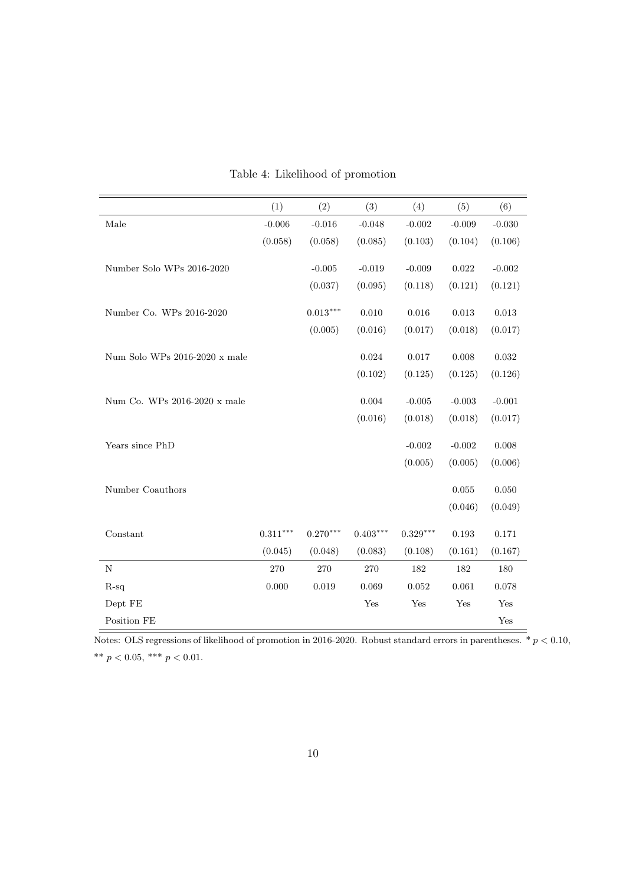|                               | (1)        | (2)        | (3)         | (4)        | (5)         | (6)         |
|-------------------------------|------------|------------|-------------|------------|-------------|-------------|
| Male                          | $-0.006$   | $-0.016$   | $-0.048$    | $-0.002$   | $-0.009$    | $-0.030$    |
|                               | (0.058)    | (0.058)    | (0.085)     | (0.103)    | (0.104)     | (0.106)     |
| Number Solo WPs 2016-2020     |            | $-0.005$   | $-0.019$    | $-0.009$   | $\,0.022\,$ | $-0.002$    |
|                               |            | (0.037)    | (0.095)     | (0.118)    | (0.121)     | (0.121)     |
| Number Co. WPs 2016-2020      |            | $0.013***$ | 0.010       | 0.016      | 0.013       | $\,0.013\,$ |
|                               |            | (0.005)    | (0.016)     | (0.017)    | (0.018)     | (0.017)     |
| Num Solo WPs 2016-2020 x male |            |            | $\,0.024\,$ | 0.017      | 0.008       | $\,0.032\,$ |
|                               |            |            | (0.102)     | (0.125)    | (0.125)     | (0.126)     |
| Num Co. WPs 2016-2020 x male  |            |            | 0.004       | $-0.005$   | $-0.003$    | $-0.001$    |
|                               |            |            | (0.016)     | (0.018)    | (0.018)     | (0.017)     |
| Years since PhD               |            |            |             | $-0.002$   | $-0.002$    | 0.008       |
|                               |            |            |             | (0.005)    | (0.005)     | (0.006)     |
| Number Coauthors              |            |            |             |            | 0.055       | 0.050       |
|                               |            |            |             |            | (0.046)     | (0.049)     |
| Constant                      | $0.311***$ | $0.270***$ | $0.403***$  | $0.329***$ | 0.193       | $0.171\,$   |
|                               | (0.045)    | (0.048)    | (0.083)     | (0.108)    | (0.161)     | (0.167)     |
| $\mathbf N$                   | 270        | 270        | 270         | 182        | 182         | 180         |
| $R-sq$                        | 0.000      | 0.019      | 0.069       | 0.052      | 0.061       | 0.078       |
| Dept FE                       |            |            | Yes         | Yes        | Yes         | Yes         |
| Position FE                   |            |            |             |            |             | Yes         |

Table 4: Likelihood of promotion

Notes: OLS regressions of likelihood of promotion in 2016-2020. Robust standard errors in parentheses.  $* p < 0.10$ , \*\*  $p < 0.05$ , \*\*\*  $p < 0.01$ .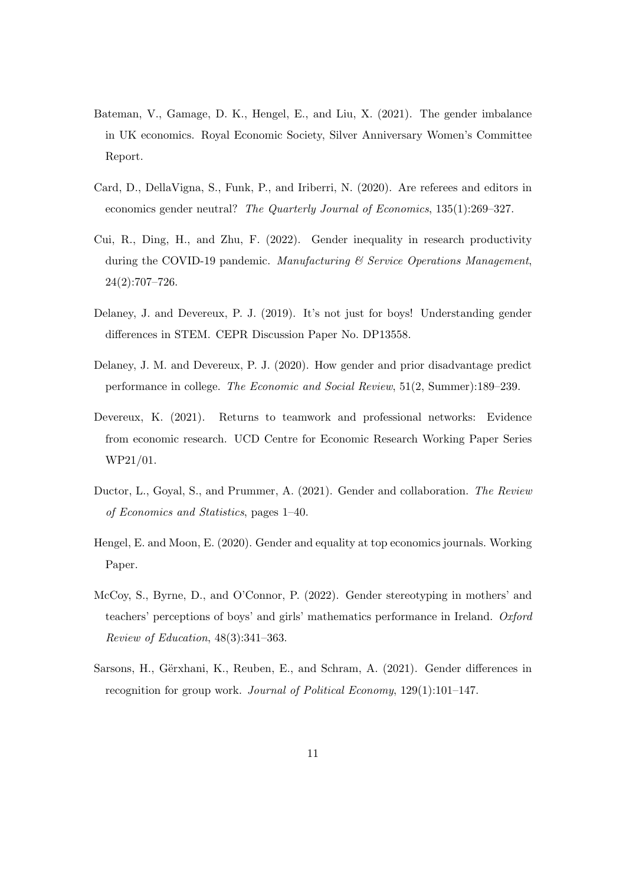- Bateman, V., Gamage, D. K., Hengel, E., and Liu, X. (2021). The gender imbalance in UK economics. Royal Economic Society, Silver Anniversary Women's Committee Report.
- Card, D., DellaVigna, S., Funk, P., and Iriberri, N. (2020). Are referees and editors in economics gender neutral? The Quarterly Journal of Economics, 135(1):269–327.
- Cui, R., Ding, H., and Zhu, F. (2022). Gender inequality in research productivity during the COVID-19 pandemic. Manufacturing  $\mathcal C$  Service Operations Management, 24(2):707–726.
- Delaney, J. and Devereux, P. J. (2019). It's not just for boys! Understanding gender differences in STEM. CEPR Discussion Paper No. DP13558.
- Delaney, J. M. and Devereux, P. J. (2020). How gender and prior disadvantage predict performance in college. The Economic and Social Review, 51(2, Summer):189–239.
- Devereux, K. (2021). Returns to teamwork and professional networks: Evidence from economic research. UCD Centre for Economic Research Working Paper Series WP21/01.
- Ductor, L., Goyal, S., and Prummer, A. (2021). Gender and collaboration. The Review of Economics and Statistics, pages 1–40.
- Hengel, E. and Moon, E. (2020). Gender and equality at top economics journals. Working Paper.
- McCoy, S., Byrne, D., and O'Connor, P. (2022). Gender stereotyping in mothers' and teachers' perceptions of boys' and girls' mathematics performance in Ireland. Oxford Review of Education, 48(3):341–363.
- Sarsons, H., Gërxhani, K., Reuben, E., and Schram, A. (2021). Gender differences in recognition for group work. Journal of Political Economy, 129(1):101–147.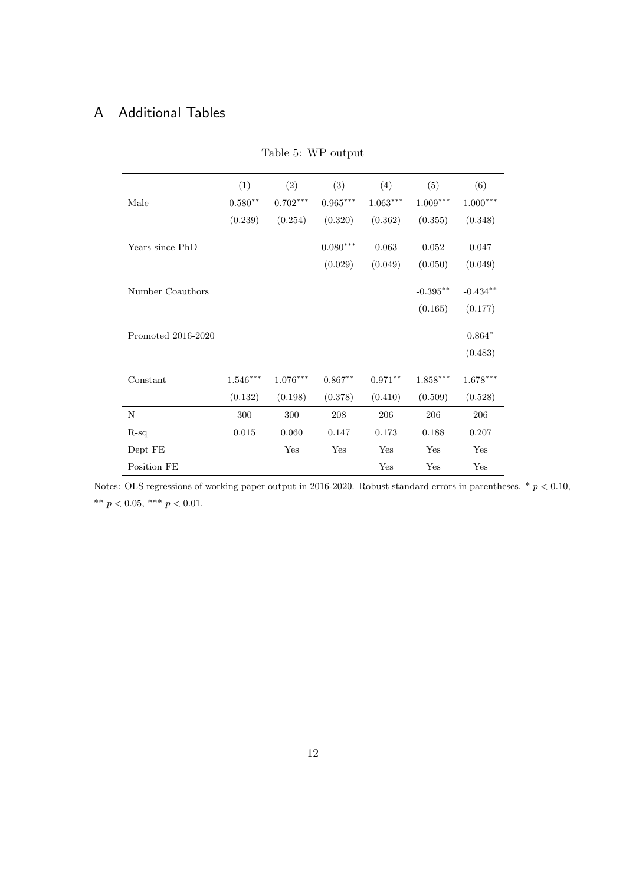## A Additional Tables

|                    | (1)                    | (2)                    | (3)        | (4)                    | (5)         | (6)                    |
|--------------------|------------------------|------------------------|------------|------------------------|-------------|------------------------|
| Male               | $0.580**$              | $0.702***$             | $0.965***$ | $1.063^{\ast\ast\ast}$ | $1.009***$  | $1.000^{***}\,$        |
|                    | (0.239)                | (0.254)                | (0.320)    | (0.362)                | (0.355)     | (0.348)                |
| Years since PhD    |                        |                        | $0.080***$ | 0.063                  | 0.052       | 0.047                  |
|                    |                        |                        | (0.029)    | (0.049)                | (0.050)     | (0.049)                |
| Number Coauthors   |                        |                        |            |                        | $-0.395***$ | $-0.434**$             |
|                    |                        |                        |            |                        | (0.165)     | (0.177)                |
| Promoted 2016-2020 |                        |                        |            |                        |             | $0.864*$<br>(0.483)    |
| Constant           | $1.546^{\ast\ast\ast}$ | $1.076^{\ast\ast\ast}$ | $0.867**$  | $0.971***$             | $1.858***$  | $1.678^{\ast\ast\ast}$ |
|                    | (0.132)                | (0.198)                | (0.378)    | (0.410)                | (0.509)     | (0.528)                |
| $\mathbf N$        | 300                    | 300                    | 208        | 206                    | 206         | 206                    |
| $R-sq$             | 0.015                  | 0.060                  | 0.147      | 0.173                  | 0.188       | 0.207                  |
| Dept FE            |                        | Yes                    | Yes        | Yes                    | Yes         | Yes                    |
| Position FE        |                        |                        |            | Yes                    | Yes         | Yes                    |

Table 5: WP output

Notes: OLS regressions of working paper output in 2016-2020. Robust standard errors in parentheses.  $*$   $p < 0.10$ , \*\*  $p < 0.05$ , \*\*\*  $p < 0.01$ .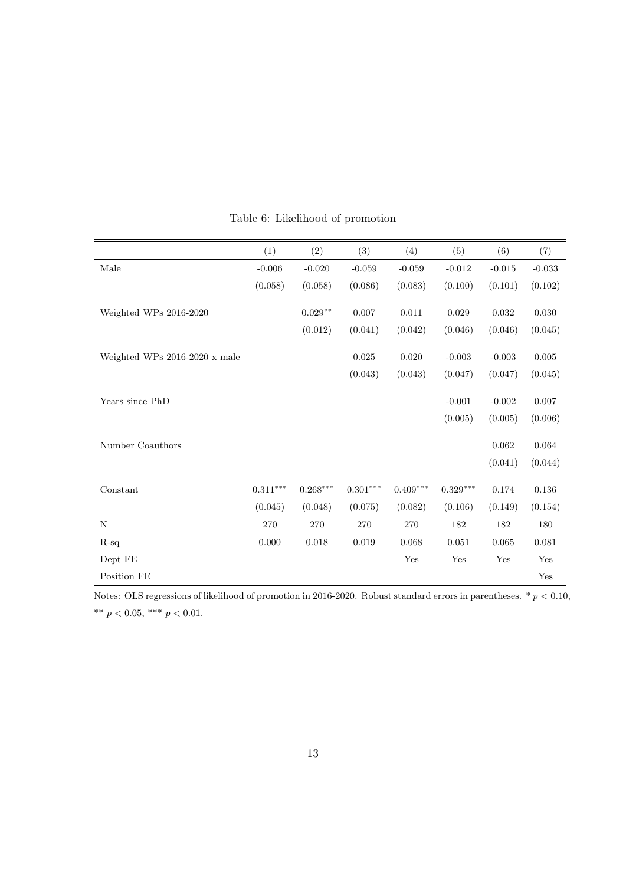|                               | (1)        | (2)                | (3)        | (4)        | (5)        | (6)      | (7)      |
|-------------------------------|------------|--------------------|------------|------------|------------|----------|----------|
| Male                          | $-0.006$   | $-0.020$           | $-0.059$   | $-0.059$   | $-0.012$   | $-0.015$ | $-0.033$ |
|                               | (0.058)    | (0.058)            | (0.086)    | (0.083)    | (0.100)    | (0.101)  | (0.102)  |
| Weighted WPs 2016-2020        |            | $0.029^{\ast\ast}$ | 0.007      | $0.011\,$  | 0.029      | 0.032    | 0.030    |
|                               |            | (0.012)            | (0.041)    | (0.042)    | (0.046)    | (0.046)  | (0.045)  |
| Weighted WPs 2016-2020 x male |            |                    | 0.025      | 0.020      | $-0.003$   | $-0.003$ | 0.005    |
|                               |            |                    | (0.043)    | (0.043)    | (0.047)    | (0.047)  | (0.045)  |
| Years since PhD               |            |                    |            |            | $-0.001$   | $-0.002$ | 0.007    |
|                               |            |                    |            |            | (0.005)    | (0.005)  | (0.006)  |
| Number Coauthors              |            |                    |            |            |            | 0.062    | 0.064    |
|                               |            |                    |            |            |            | (0.041)  | (0.044)  |
| Constant                      | $0.311***$ | $0.268***$         | $0.301***$ | $0.409***$ | $0.329***$ | 0.174    | 0.136    |
|                               | (0.045)    | (0.048)            | (0.075)    | (0.082)    | (0.106)    | (0.149)  | (0.154)  |
| $\mathbf N$                   | 270        | 270                | 270        | 270        | 182        | 182      | 180      |
| $R-sq$                        | 0.000      | 0.018              | 0.019      | 0.068      | 0.051      | 0.065    | 0.081    |
| Dept FE                       |            |                    |            | Yes        | Yes        | Yes      | Yes      |
| Position $\rm FE$             |            |                    |            |            |            |          | Yes      |

### Table 6: Likelihood of promotion

 $\overline{\text{Notes: OLS regressions of likelihood of promotion in 2016-2020. Robust standard errors in parentheses. } * p < 0.10,$ \*\* $p < 0.05,$ \*\*\* $p < 0.01.$